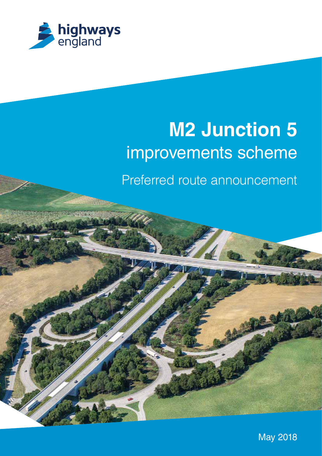

# **M2 Junction 5** improvements scheme

Preferred route announcement

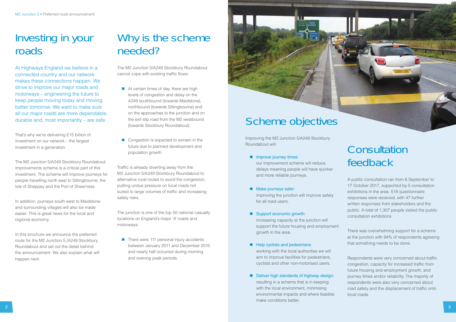### Investing in your roads

At Highways England we believe in a connected country and our network makes these connections happen. We strive to improve our major roads and motorways – engineering the future to keep people moving today and moving better tomorrow. We want to make sure all our major roads are more dependable, durable and, most importantly – are safe.

That's why we're delivering £15 billion of investment on our network – the largest investment in a generation.

The M2 Junction 5/A249 Stockbury Roundabout cannot cope with existing traffic flows:

The M2 Junction 5/A249 Stockbury Roundabout improvements scheme is a critical part of this investment. The scheme will improve journeys for people travelling north east to Sittingbourne, the Isle of Sheppey and the Port of Sheerness.

- At certain times of day, there are high levels of congestion and delay on the A249 southbound (towards Maidstone), northbound (towards Sittingbourne) and on the approaches to the junction and on the exit slip road from the M2 westbound (towards Stockbury Roundabout).
- Congestion is expected to worsen in the future due to planned development and population growth.

In addition, journeys south west to Maidstone and surrounding villages will also be made easier. This is great news for the local and regional economy.

Traffic is already diverting away from the M2 Junction 5/A249 Stockbury Roundabout to alternative rural routes to avoid the congestion, putting undue pressure on local roads not suited to large volumes of traffic and increasing safety risks.

In this brochure we announce the preferred route for the M2 Junction 5 /A249 Stockbury Roundabout and set out the detail behind the announcement. We also explain what will happen next.

 $\blacksquare$  There were 111 personal injury accidents between January 2011 and December 2015 and nearly half occurred during morning and evening peak periods.



## Why is the scheme needed?

- **Improve journey times:**  our improvement scheme will reduce delays meaning people will have quicker and more reliable journeys.
- **Make journeys safer:**  improving the junction will improve safety for all road users.
- Support economic growth: increasing capacity at the junction will support the future housing and employment growth in the area.
- **Help cyclists and pedestrians:**  working with the local authorities we will aim to improve facilities for pedestrians, cyclists and other non-motorised users.
- **Deliver high standards of highway design:** resulting in a scheme that is in keeping with the local environment, minimising environmental impacts and where feasible make conditions better.

Respondents were very concerned about traffic congestion, capacity for increased traffic from future housing and employment growth, and journey times and/or reliability. The majority of respondents were also very concerned about road safety and the displacement of traffic onto local roads.

The junction is one of the top 50 national casualty locations on England's major 'A' roads and motorways:

Improving the M2 Junction 5/A249 Stockbury Roundabout will:

### Consultation feedback

A public consultation ran from 6 September to 17 October 2017, supported by 5 consultation exhibitions in the area. 518 questionnaire responses were received, with 47 further written responses from stakeholders and the public. A total of 1,307 people visited the public consultation exhibitions.

There was overwhelming support for a scheme at the junction with 94% of respondents agreeing that something needs to be done.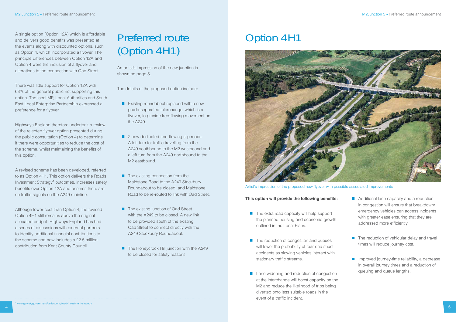### Option 4H1



Artist's impression of the proposed new flyover with possible associated improvements

### This option will provide the following benefits:

- $\blacksquare$  The extra road capacity will help support the planned housing and economic growth outlined in the Local Plans.
- **The reduction of congestion and queues** will lower the probability of rear-end shunt accidents as slowing vehicles interact with stationary traffic streams.
- **Lane widening and reduction of congestion** at the interchange will boost capacity on the M2 and reduce the likelihood of trips being diverted onto less suitable roads in the event of a traffic incident.

There was little support for Option 12A with 68% of the general public not supporting this option. The local MP, Local Authorities and South East Local Enterprise Partnership expressed a preference for a flyover.

A single option (Option 12A) which is affordable and delivers good benefits was presented at the events along with discounted options, such as Option 4, which incorporated a flyover. The principle differences between Option 12A and Option 4 were the inclusion of a flyover and alterations to the connection with Oad Street.

A revised scheme has been developed, referred to as Option 4H1. This option delivers the Roads Investment Strategy<sup>1</sup> outcomes, increases safety benefits over Option 12A and ensures there are no traffic signals on the A249 mainline.

Highways England therefore undertook a review of the rejected flyover option presented during the public consultation (Option 4) to determine if there were opportunities to reduce the cost of the scheme, whilst maintaining the benefits of this option.

- **Existing roundabout replaced with a new** grade-separated interchange, which is a flyover, to provide free-flowing movement on the A249.
- $\blacksquare$  2 new dedicated free-flowing slip roads: A left turn for traffic travelling from the A249 southbound to the M2 westbound and a left turn from the A249 northbound to the M2 eastbound.
- $\blacksquare$  The existing connection from the Maidstone Road to the A249 Stockbury Roundabout to be closed, and Maidstone Road to be re-routed to link with Oad Street.
- **The existing junction of Oad Street** with the A249 to be closed. A new link to be provided south of the existing Oad Street to connect directly with the A249 Stockbury Roundabout.
- $\blacksquare$  The Honeycrock Hill junction with the A249 to be closed for safety reasons.

Although lower cost than Option 4, the revised Option 4H1 still remains above the original allocated budget. Highways England has had a series of discussions with external partners to identify additional financial contributions to the scheme and now includes a £2.5 million contribution from Kent County Council.

## Preferred route (Option 4H1)

An artist's impression of the new junction is shown on page 5.

The details of the proposed option include:

- **Additional lane capacity and a reduction** in congestion will ensure that breakdown/ emergency vehicles can access incidents with greater ease ensuring that they are addressed more efficiently.
- $\blacksquare$  The reduction of vehicular delay and travel times will reduce journey cost.
- **I** Improved journey-time reliability, a decrease in overall journey times and a reduction of queuing and queue lengths.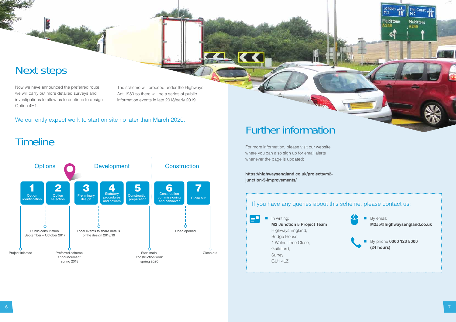



### Next steps

Now we have announced the preferred route, we will carry out more detailed surveys and investigations to allow us to continue to design Option 4H1.

### Further information

 $\mathcal{L}_{\mathcal{A}}$  In writing: **M2 Junction 5 Project Team**  Highways England, Bridge House, 1 Walnut Tree Close, Guildford, Surrey GU1 4LZ

For more information, please visit our website where you can also sign up for email alerts whenever the page is updated:

**https://highwaysengland.co.uk/projects/m2 junction-5-improvements/**

E

### If you have any queries about this scheme, please contact us:

The scheme will proceed under the Highways Act 1980 so there will be a series of public information events in late 2018/early 2019.

> By email: **M2J5@highwaysengland.co.uk**



 By phone **0300 123 5000 (24 hours)**

### We currently expect work to start on site no later than March 2020.

**Timeline**